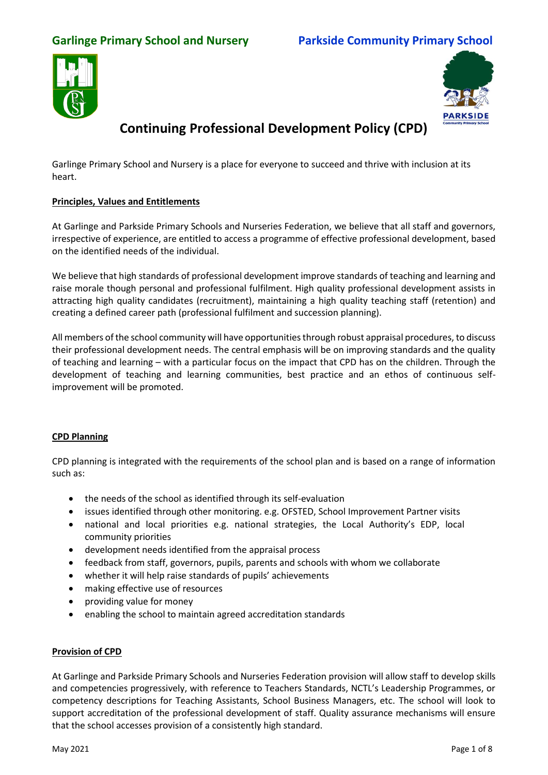### **Garlinge Primary School and Nursery Parkside Community Primary School**





# **Continuing Professional Development Policy (CPD)**

Garlinge Primary School and Nursery is a place for everyone to succeed and thrive with inclusion at its heart.

#### **Principles, Values and Entitlements**

At Garlinge and Parkside Primary Schools and Nurseries Federation, we believe that all staff and governors, irrespective of experience, are entitled to access a programme of effective professional development, based on the identified needs of the individual.

We believe that high standards of professional development improve standards of teaching and learning and raise morale though personal and professional fulfilment. High quality professional development assists in attracting high quality candidates (recruitment), maintaining a high quality teaching staff (retention) and creating a defined career path (professional fulfilment and succession planning).

All members of the school community will have opportunities through robust appraisal procedures, to discuss their professional development needs. The central emphasis will be on improving standards and the quality of teaching and learning – with a particular focus on the impact that CPD has on the children. Through the development of teaching and learning communities, best practice and an ethos of continuous selfimprovement will be promoted.

#### **CPD Planning**

CPD planning is integrated with the requirements of the school plan and is based on a range of information such as:

- the needs of the school as identified through its self-evaluation
- issues identified through other monitoring. e.g. OFSTED, School Improvement Partner visits
- national and local priorities e.g. national strategies, the Local Authority's EDP, local community priorities
- development needs identified from the appraisal process
- feedback from staff, governors, pupils, parents and schools with whom we collaborate
- whether it will help raise standards of pupils' achievements
- making effective use of resources
- providing value for money
- enabling the school to maintain agreed accreditation standards

#### **Provision of CPD**

At Garlinge and Parkside Primary Schools and Nurseries Federation provision will allow staff to develop skills and competencies progressively, with reference to Teachers Standards, NCTL's Leadership Programmes, or competency descriptions for Teaching Assistants, School Business Managers, etc. The school will look to support accreditation of the professional development of staff. Quality assurance mechanisms will ensure that the school accesses provision of a consistently high standard.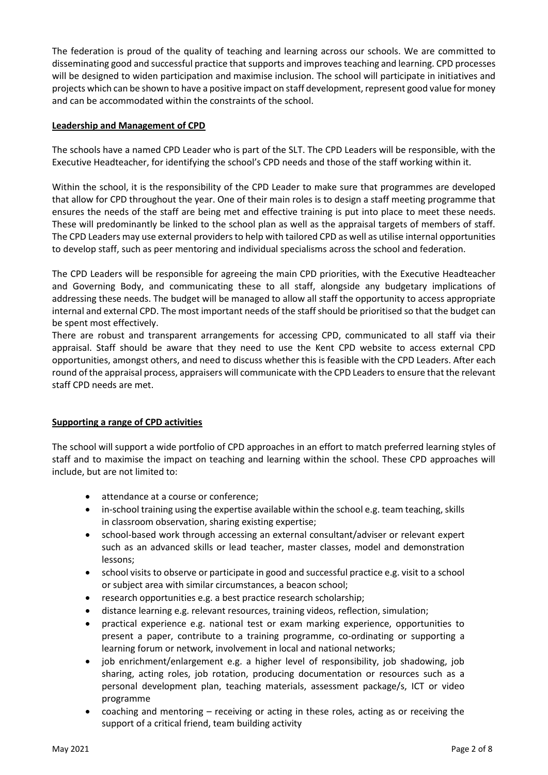The federation is proud of the quality of teaching and learning across our schools. We are committed to disseminating good and successful practice that supports and improves teaching and learning. CPD processes will be designed to widen participation and maximise inclusion. The school will participate in initiatives and projects which can be shown to have a positive impact on staff development, represent good value for money and can be accommodated within the constraints of the school.

#### **Leadership and Management of CPD**

The schools have a named CPD Leader who is part of the SLT. The CPD Leaders will be responsible, with the Executive Headteacher, for identifying the school's CPD needs and those of the staff working within it.

Within the school, it is the responsibility of the CPD Leader to make sure that programmes are developed that allow for CPD throughout the year. One of their main roles is to design a staff meeting programme that ensures the needs of the staff are being met and effective training is put into place to meet these needs. These will predominantly be linked to the school plan as well as the appraisal targets of members of staff. The CPD Leaders may use external providers to help with tailored CPD as well as utilise internal opportunities to develop staff, such as peer mentoring and individual specialisms across the school and federation.

The CPD Leaders will be responsible for agreeing the main CPD priorities, with the Executive Headteacher and Governing Body, and communicating these to all staff, alongside any budgetary implications of addressing these needs. The budget will be managed to allow all staff the opportunity to access appropriate internal and external CPD. The most important needs of the staff should be prioritised so that the budget can be spent most effectively.

There are robust and transparent arrangements for accessing CPD, communicated to all staff via their appraisal. Staff should be aware that they need to use the Kent CPD website to access external CPD opportunities, amongst others, and need to discuss whether this is feasible with the CPD Leaders. After each round of the appraisal process, appraisers will communicate with the CPD Leaders to ensure that the relevant staff CPD needs are met.

### **Supporting a range of CPD activities**

The school will support a wide portfolio of CPD approaches in an effort to match preferred learning styles of staff and to maximise the impact on teaching and learning within the school. These CPD approaches will include, but are not limited to:

- attendance at a course or conference;
- in-school training using the expertise available within the school e.g. team teaching, skills in classroom observation, sharing existing expertise;
- school-based work through accessing an external consultant/adviser or relevant expert such as an advanced skills or lead teacher, master classes, model and demonstration lessons;
- school visits to observe or participate in good and successful practice e.g. visit to a school or subject area with similar circumstances, a beacon school;
- research opportunities e.g. a best practice research scholarship;
- distance learning e.g. relevant resources, training videos, reflection, simulation;
- practical experience e.g. national test or exam marking experience, opportunities to present a paper, contribute to a training programme, co-ordinating or supporting a learning forum or network, involvement in local and national networks;
- job enrichment/enlargement e.g. a higher level of responsibility, job shadowing, job sharing, acting roles, job rotation, producing documentation or resources such as a personal development plan, teaching materials, assessment package/s, ICT or video programme
- coaching and mentoring receiving or acting in these roles, acting as or receiving the support of a critical friend, team building activity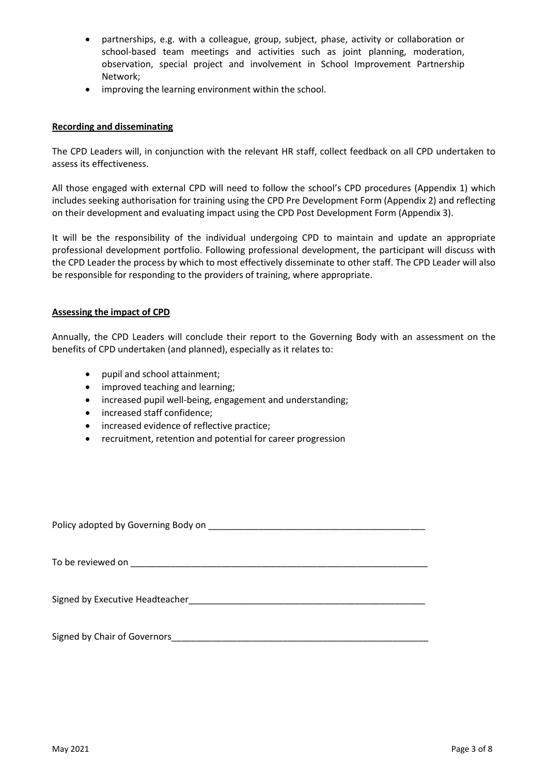- partnerships, e.g. with a colleague, group, subject, phase, activity or collaboration or school-based team meetings and activities such as joint planning, moderation, observation, special project and involvement in School Improvement Partnership Network;
- improving the learning environment within the school.

#### **Recording and disseminating**

The CPD Leaders will, in conjunction with the relevant HR staff, collect feedback on all CPD undertaken to assess its effectiveness.

All those engaged with external CPD will need to follow the school's CPD procedures (Appendix 1) which includes seeking authorisation for training using the CPD Pre Development Form (Appendix 2) and reflecting on their development and evaluating impact using the CPD Post Development Form (Appendix 3).

It will be the responsibility of the individual undergoing CPD to maintain and update an appropriate professional development portfolio. Following professional development, the participant will discuss with the CPD Leader the process by which to most effectively disseminate to other staff. The CPD Leader will also be responsible for responding to the providers of training, where appropriate.

#### **Assessing the impact of CPD**

Annually, the CPD Leaders will conclude their report to the Governing Body with an assessment on the benefits of CPD undertaken (and planned), especially as it relates to:

- pupil and school attainment;
- improved teaching and learning;
- increased pupil well-being, engagement and understanding;
- increased staff confidence;
- increased evidence of reflective practice;
- recruitment, retention and potential for career progression

Policy adopted by Governing Body on \_\_\_\_\_\_\_\_\_\_\_\_\_\_\_\_\_\_\_\_\_\_\_\_\_\_\_\_\_\_\_\_\_\_\_\_\_\_\_\_\_\_\_

To be reviewed on \_\_\_\_\_\_\_\_\_\_\_\_\_\_\_\_\_\_\_\_\_\_\_\_\_\_\_\_\_\_\_\_\_\_\_\_\_\_\_\_\_\_\_\_\_\_\_\_\_\_\_\_\_\_\_\_\_\_\_

Signed by Executive Headteacher\_\_\_\_\_\_\_\_\_\_\_\_\_\_\_\_\_\_\_\_\_\_\_\_\_\_\_\_\_\_\_\_\_\_\_\_\_\_\_\_\_\_\_\_\_\_\_

Signed by Chair of Governors\_\_\_\_\_\_\_\_\_\_\_\_\_\_\_\_\_\_\_\_\_\_\_\_\_\_\_\_\_\_\_\_\_\_\_\_\_\_\_\_\_\_\_\_\_\_\_\_\_\_\_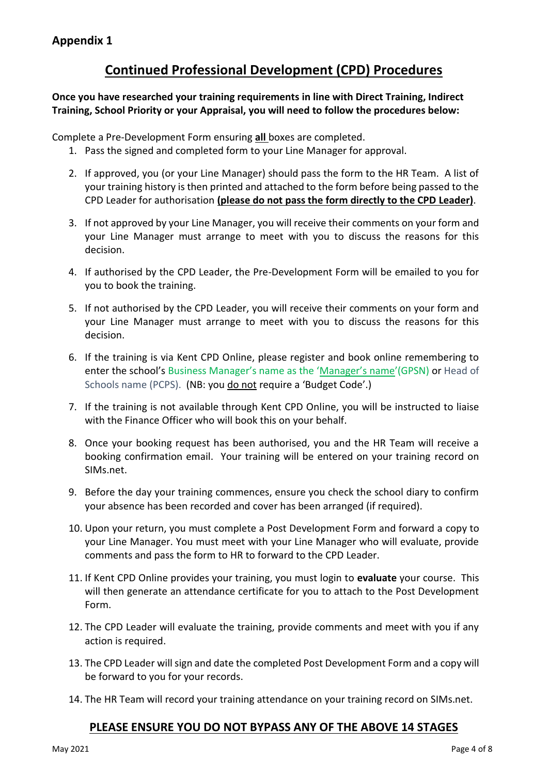### **Continued Professional Development (CPD) Procedures**

**Once you have researched your training requirements in line with Direct Training, Indirect Training, School Priority or your Appraisal, you will need to follow the procedures below:**

Complete a Pre-Development Form ensuring **all** boxes are completed.

- 1. Pass the signed and completed form to your Line Manager for approval.
- 2. If approved, you (or your Line Manager) should pass the form to the HR Team. A list of your training history is then printed and attached to the form before being passed to the CPD Leader for authorisation **(please do not pass the form directly to the CPD Leader)**.
- 3. If not approved by your Line Manager, you will receive their comments on your form and your Line Manager must arrange to meet with you to discuss the reasons for this decision.
- 4. If authorised by the CPD Leader, the Pre-Development Form will be emailed to you for you to book the training.
- 5. If not authorised by the CPD Leader, you will receive their comments on your form and your Line Manager must arrange to meet with you to discuss the reasons for this decision.
- 6. If the training is via Kent CPD Online, please register and book online remembering to enter the school's Business Manager's name as the 'Manager's name'(GPSN) or Head of Schools name (PCPS). (NB: you do not require a 'Budget Code'.)
- 7. If the training is not available through Kent CPD Online, you will be instructed to liaise with the Finance Officer who will book this on your behalf.
- 8. Once your booking request has been authorised, you and the HR Team will receive a booking confirmation email. Your training will be entered on your training record on SIMs.net.
- 9. Before the day your training commences, ensure you check the school diary to confirm your absence has been recorded and cover has been arranged (if required).
- 10. Upon your return, you must complete a Post Development Form and forward a copy to your Line Manager. You must meet with your Line Manager who will evaluate, provide comments and pass the form to HR to forward to the CPD Leader.
- 11. If Kent CPD Online provides your training, you must login to **evaluate** your course. This will then generate an attendance certificate for you to attach to the Post Development Form.
- 12. The CPD Leader will evaluate the training, provide comments and meet with you if any action is required.
- 13. The CPD Leader will sign and date the completed Post Development Form and a copy will be forward to you for your records.
- 14. The HR Team will record your training attendance on your training record on SIMs.net.

### **PLEASE ENSURE YOU DO NOT BYPASS ANY OF THE ABOVE 14 STAGES**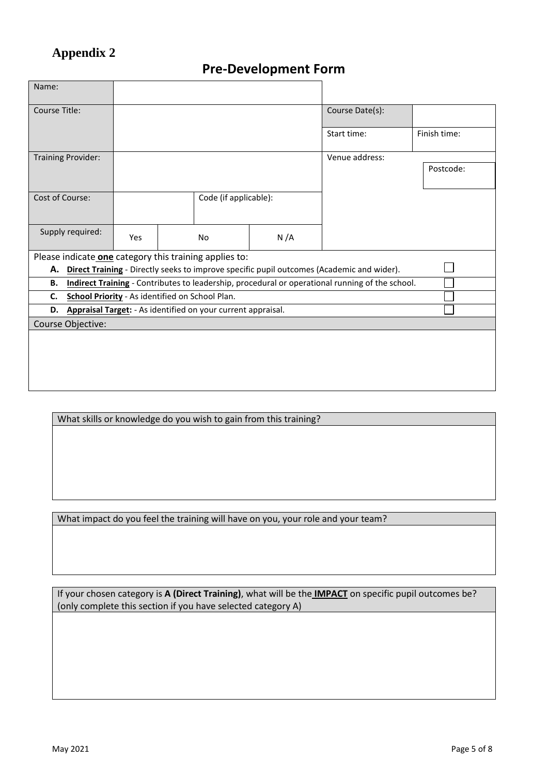## **Appendix 2**

# **Pre-Development Form**

| Name:                     |                                                                                                 |                       |  |                                                        |     |                 |              |  |  |  |
|---------------------------|-------------------------------------------------------------------------------------------------|-----------------------|--|--------------------------------------------------------|-----|-----------------|--------------|--|--|--|
| <b>Course Title:</b>      |                                                                                                 |                       |  |                                                        |     | Course Date(s): |              |  |  |  |
|                           |                                                                                                 |                       |  |                                                        |     |                 |              |  |  |  |
|                           |                                                                                                 |                       |  |                                                        |     | Start time:     | Finish time: |  |  |  |
| <b>Training Provider:</b> |                                                                                                 |                       |  |                                                        |     | Venue address:  |              |  |  |  |
|                           |                                                                                                 |                       |  |                                                        |     |                 | Postcode:    |  |  |  |
|                           |                                                                                                 |                       |  |                                                        |     |                 |              |  |  |  |
| Cost of Course:           |                                                                                                 | Code (if applicable): |  |                                                        |     |                 |              |  |  |  |
|                           |                                                                                                 |                       |  |                                                        |     |                 |              |  |  |  |
| Supply required:          |                                                                                                 |                       |  |                                                        |     |                 |              |  |  |  |
|                           |                                                                                                 | Yes                   |  | No                                                     | N/A |                 |              |  |  |  |
|                           |                                                                                                 |                       |  | Please indicate one category this training applies to: |     |                 |              |  |  |  |
| А.                        | Direct Training - Directly seeks to improve specific pupil outcomes (Academic and wider).       |                       |  |                                                        |     |                 |              |  |  |  |
| <b>B.</b>                 | Indirect Training - Contributes to leadership, procedural or operational running of the school. |                       |  |                                                        |     |                 |              |  |  |  |
| C.                        | School Priority - As identified on School Plan.                                                 |                       |  |                                                        |     |                 |              |  |  |  |
| D.                        | Appraisal Target: - As identified on your current appraisal.                                    |                       |  |                                                        |     |                 |              |  |  |  |
| Course Objective:         |                                                                                                 |                       |  |                                                        |     |                 |              |  |  |  |
|                           |                                                                                                 |                       |  |                                                        |     |                 |              |  |  |  |
|                           |                                                                                                 |                       |  |                                                        |     |                 |              |  |  |  |
|                           |                                                                                                 |                       |  |                                                        |     |                 |              |  |  |  |
|                           |                                                                                                 |                       |  |                                                        |     |                 |              |  |  |  |
|                           |                                                                                                 |                       |  |                                                        |     |                 |              |  |  |  |

What skills or knowledge do you wish to gain from this training?

What impact do you feel the training will have on you, your role and your team?

If your chosen category is **A (Direct Training)**, what will be the **IMPACT** on specific pupil outcomes be? (only complete this section if you have selected category A)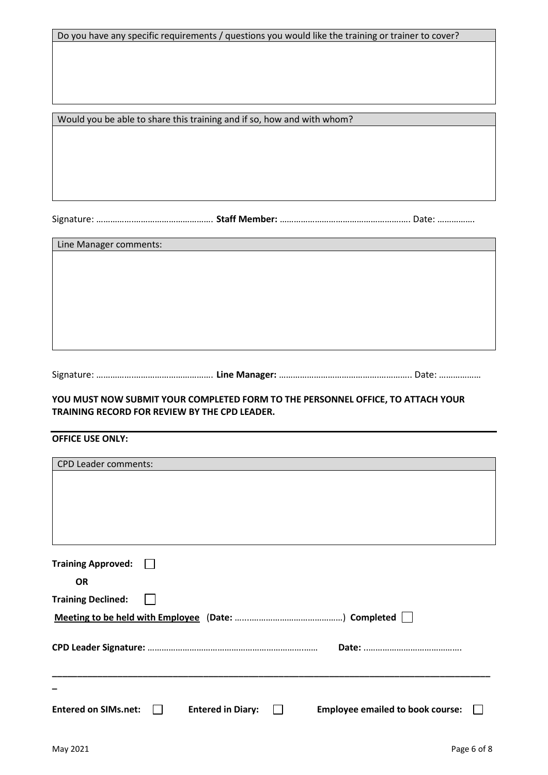Do you have any specific requirements / questions you would like the training or trainer to cover?

Would you be able to share this training and if so, how and with whom?

Signature: …………….……………………………. **Staff Member:** …………………………………………….…. Date: …………….

Line Manager comments:

Signature: …………….……………………………. **Line Manager:** …………………………………….………….. Date: ………………

#### **YOU MUST NOW SUBMIT YOUR COMPLETED FORM TO THE PERSONNEL OFFICE, TO ATTACH YOUR TRAINING RECORD FOR REVIEW BY THE CPD LEADER.**

#### **OFFICE USE ONLY:**

| <b>Training Approved:</b><br><b>OR</b><br><b>Training Declined:</b><br><b>Entered on SIMs.net:</b><br><b>Entered in Diary:</b><br><b>Employee emailed to book course:</b><br>$\mathbf{L}$<br>$\mathbf{I}$ | <b>CPD Leader comments:</b> |  |  |  |  |  |  |  |  |
|-----------------------------------------------------------------------------------------------------------------------------------------------------------------------------------------------------------|-----------------------------|--|--|--|--|--|--|--|--|
|                                                                                                                                                                                                           |                             |  |  |  |  |  |  |  |  |
|                                                                                                                                                                                                           |                             |  |  |  |  |  |  |  |  |
|                                                                                                                                                                                                           |                             |  |  |  |  |  |  |  |  |
|                                                                                                                                                                                                           |                             |  |  |  |  |  |  |  |  |
|                                                                                                                                                                                                           |                             |  |  |  |  |  |  |  |  |
|                                                                                                                                                                                                           |                             |  |  |  |  |  |  |  |  |
|                                                                                                                                                                                                           |                             |  |  |  |  |  |  |  |  |
|                                                                                                                                                                                                           |                             |  |  |  |  |  |  |  |  |
|                                                                                                                                                                                                           |                             |  |  |  |  |  |  |  |  |
|                                                                                                                                                                                                           |                             |  |  |  |  |  |  |  |  |
|                                                                                                                                                                                                           |                             |  |  |  |  |  |  |  |  |
|                                                                                                                                                                                                           |                             |  |  |  |  |  |  |  |  |
|                                                                                                                                                                                                           |                             |  |  |  |  |  |  |  |  |
|                                                                                                                                                                                                           |                             |  |  |  |  |  |  |  |  |
|                                                                                                                                                                                                           |                             |  |  |  |  |  |  |  |  |
|                                                                                                                                                                                                           |                             |  |  |  |  |  |  |  |  |
|                                                                                                                                                                                                           |                             |  |  |  |  |  |  |  |  |
|                                                                                                                                                                                                           |                             |  |  |  |  |  |  |  |  |
|                                                                                                                                                                                                           |                             |  |  |  |  |  |  |  |  |
|                                                                                                                                                                                                           |                             |  |  |  |  |  |  |  |  |
|                                                                                                                                                                                                           |                             |  |  |  |  |  |  |  |  |
|                                                                                                                                                                                                           |                             |  |  |  |  |  |  |  |  |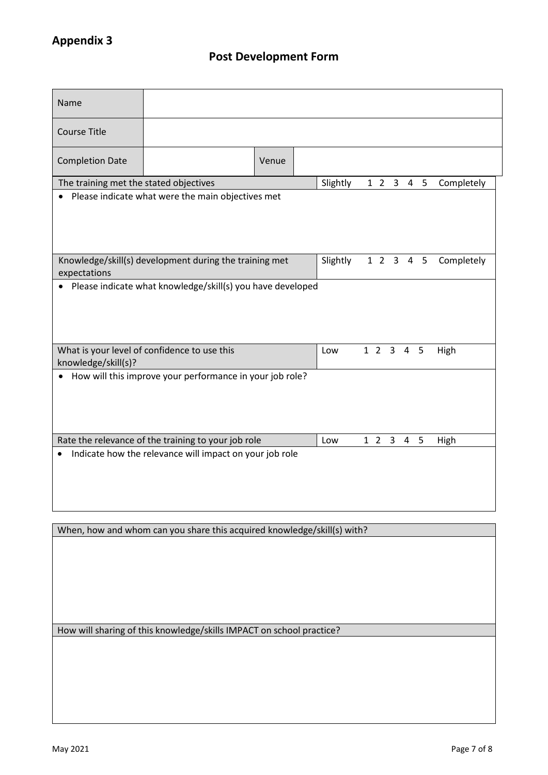| Name                                                           |                                                            |       |  |          |  |  |  |           |           |            |
|----------------------------------------------------------------|------------------------------------------------------------|-------|--|----------|--|--|--|-----------|-----------|------------|
| <b>Course Title</b>                                            |                                                            |       |  |          |  |  |  |           |           |            |
| <b>Completion Date</b>                                         |                                                            | Venue |  |          |  |  |  |           |           |            |
| The training met the stated objectives                         |                                                            |       |  | Slightly |  |  |  |           | 1 2 3 4 5 | Completely |
| Please indicate what were the main objectives met<br>$\bullet$ |                                                            |       |  |          |  |  |  |           |           |            |
| expectations                                                   | Knowledge/skill(s) development during the training met     |       |  | Slightly |  |  |  |           | 1 2 3 4 5 | Completely |
|                                                                | Please indicate what knowledge/skill(s) you have developed |       |  |          |  |  |  |           |           |            |
| knowledge/skill(s)?                                            | What is your level of confidence to use this               |       |  | Low      |  |  |  | 1 2 3 4 5 |           | High       |
| $\bullet$                                                      | How will this improve your performance in your job role?   |       |  |          |  |  |  |           |           |            |
|                                                                | Rate the relevance of the training to your job role        |       |  | Low      |  |  |  | 1 2 3 4 5 |           | High       |
| $\bullet$                                                      | Indicate how the relevance will impact on your job role    |       |  |          |  |  |  |           |           |            |

When, how and whom can you share this acquired knowledge/skill(s) with?

How will sharing of this knowledge/skills IMPACT on school practice?